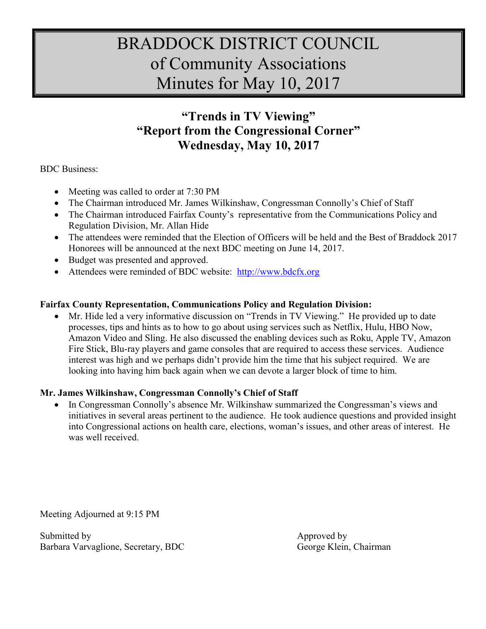## BRADDOCK DISTRICT COUNCIL of Community Associations Minutes for May 10, 2017

## **"Trends in TV Viewing" "Report from the Congressional Corner" Wednesday, May 10, 2017**

BDC Business:

- Meeting was called to order at 7:30 PM
- The Chairman introduced Mr. James Wilkinshaw, Congressman Connolly's Chief of Staff
- The Chairman introduced Fairfax County's representative from the Communications Policy and Regulation Division, Mr. Allan Hide
- The attendees were reminded that the Election of Officers will be held and the Best of Braddock 2017 Honorees will be announced at the next BDC meeting on June 14, 2017.
- Budget was presented and approved.
- Attendees were reminded of BDC website: [http://www.bdcfx.org](http://www.bdcfx.org/)

## **Fairfax County Representation, Communications Policy and Regulation Division:**

 Mr. Hide led a very informative discussion on "Trends in TV Viewing." He provided up to date processes, tips and hints as to how to go about using services such as Netflix, Hulu, HBO Now, Amazon Video and Sling. He also discussed the enabling devices such as Roku, Apple TV, Amazon Fire Stick, Blu-ray players and game consoles that are required to access these services. Audience interest was high and we perhaps didn't provide him the time that his subject required. We are looking into having him back again when we can devote a larger block of time to him.

## **Mr. James Wilkinshaw, Congressman Connolly's Chief of Staff**

• In Congressman Connolly's absence Mr. Wilkinshaw summarized the Congressman's views and initiatives in several areas pertinent to the audience. He took audience questions and provided insight into Congressional actions on health care, elections, woman's issues, and other areas of interest. He was well received.

Meeting Adjourned at 9:15 PM

Submitted by Approved by Approved by Approved by Approved by Approved by Approved by Approved by Approved by Approved by Approved by Approved by Approved by Approved by Approved by Approved by Approved by Approved by Appro Barbara Varvaglione, Secretary, BDC George Klein, Chairman